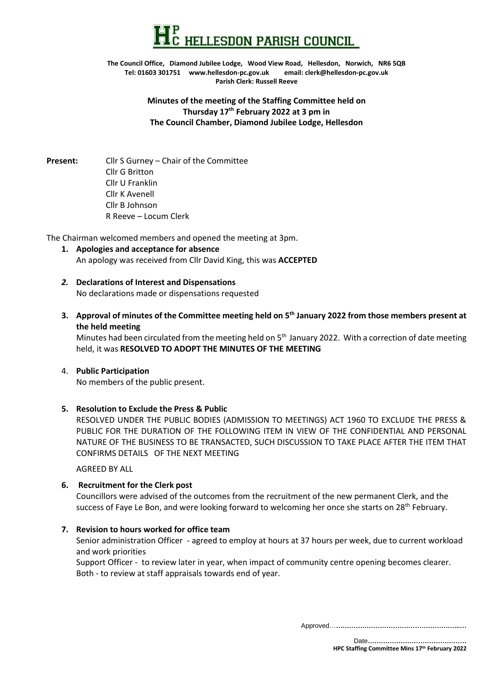

**The Council Office, Diamond Jubilee Lodge, Wood View Road, Hellesdon, Norwich, NR6 5QB Tel: 01603 301751 www.hellesdon-pc.gov.uk email: clerk[@hellesdon-pc.gov.uk](mailto:hellesdonpc@tiscali.co.uk) Parish Clerk: Russell Reeve**

> **Minutes of the meeting of the Staffing Committee held on Thursday 17th February 2022 at 3 pm in The Council Chamber, Diamond Jubilee Lodge, Hellesdon**

**Present:** Cllr S Gurney – Chair of the Committee Cllr G Britton Cllr U Franklin Cllr K Avenell Cllr B Johnson R Reeve – Locum Clerk

The Chairman welcomed members and opened the meeting at 3pm.

- **1. Apologies and acceptance for absence** An apology was received from Cllr David King, this was **ACCEPTED**
- *2.* **Declarations of Interest and Dispensations** No declarations made or dispensations requested
- **3. Approval of minutes of the Committee meeting held on 5 th January 2022 from those members present at the held meeting**

Minutes had been circulated from the meeting held on 5<sup>th</sup> January 2022. With a correction of date meeting held, it was **RESOLVED TO ADOPT THE MINUTES OF THE MEETING**

# 4. **Public Participation**

No members of the public present.

#### **5. Resolution to Exclude the Press & Public**

RESOLVED UNDER THE PUBLIC BODIES (ADMISSION TO MEETINGS) ACT 1960 TO EXCLUDE THE PRESS & PUBLIC FOR THE DURATION OF THE FOLLOWING ITEM IN VIEW OF THE CONFIDENTIAL AND PERSONAL NATURE OF THE BUSINESS TO BE TRANSACTED, SUCH DISCUSSION TO TAKE PLACE AFTER THE ITEM THAT CONFIRMS DETAILS OF THE NEXT MEETING

AGREED BY ALL

#### **6. Recruitment for the Clerk post**

Councillors were advised of the outcomes from the recruitment of the new permanent Clerk, and the success of Faye Le Bon, and were looking forward to welcoming her once she starts on 28<sup>th</sup> February.

#### **7. Revision to hours worked for office team**

Senior administration Officer - agreed to employ at hours at 37 hours per week, due to current workload and work priorities

Support Officer - to review later in year, when impact of community centre opening becomes clearer. Both - to review at staff appraisals towards end of year.

Approved…**………………………………………………...…**

 Date**……………………………………… HPC Staffing Committee Mins 17th February 2022**